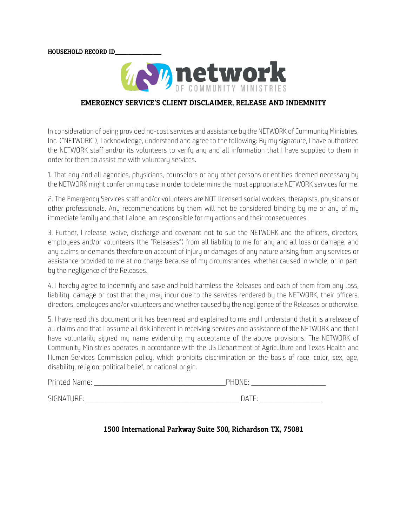**HOUSEHOLD RECORD ID** 



### EMERGENCY SERVICE'S CLIENT DISCLAIMER, RELEASE AND INDEMNITY

In consideration of being provided no-cost services and assistance by the NETWORK of Community Ministries, Inc. ("NETWORK"), I acknowledge, understand and agree to the following: By my signature, I have authorized the NETWORK staff and/or its volunteers to verify any and all information that I have supplied to them in order for them to assist me with voluntary services.

1. That any and all agencies, physicians, counselors or any other persons or entities deemed necessary by the NETWORK might confer on my case in order to determine the most appropriate NETWORK services for me.

2. The Emergency Services staff and/or volunteers are NOT licensed social workers, therapists, physicians or other professionals. Any recommendations by them will not be considered binding by me or any of my immediate family and that I alone, am responsible for my actions and their consequences.

3. Further, I release, waive, discharge and covenant not to sue the NETWORK and the officers, directors, employees and/or volunteers (the "Releases") from all liability to me for any and all loss or damage, and any claims or demands therefore on account of injury or damages of any nature arising from any services or assistance provided to me at no charge because of my circumstances, whether caused in whole, or in part, by the negligence of the Releases.

4. I hereby agree to indemnify and save and hold harmless the Releases and each of them from any loss, liability, damage or cost that they may incur due to the services rendered by the NETWORK, their officers, directors, employees and/or volunteers and whether caused by the negligence of the Releases or otherwise.

5. I have read this document or it has been read and explained to me and I understand that it is a release of all claims and that I assume all risk inherent in receiving services and assistance of the NETWORK and that I have voluntarily signed my name evidencing my acceptance of the above provisions. The NETWORK of Community Ministries operates in accordance with the US Department of Agriculture and Texas Health and Human Services Commission policy, which prohibits discrimination on the basis of race, color, sex, age, disability, religion, political belief, or national origin.

| Printed Name: | <b>PHONE</b> |  |
|---------------|--------------|--|
| SIGNATURE:    | NATE.        |  |

#### 1500 International Parkway Suite 300, Richardson TX, 75081